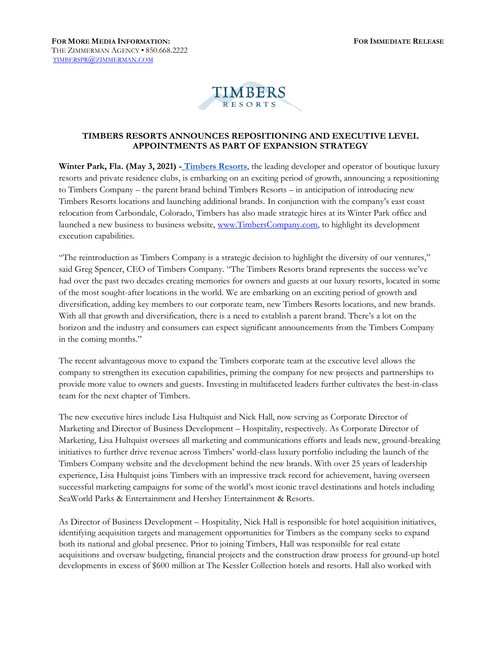

## **TIMBERS RESORTS ANNOUNCES REPOSITIONING AND EXECUTIVE LEVEL APPOINTMENTS AS PART OF EXPANSION STRATEGY**

**Winter Park, Fla. (May 3, 2021) - [Timbers Resorts](http://www.timbersresorts.com/)**, the leading developer and operator of boutique luxury resorts and private residence clubs, is embarking on an exciting period of growth, announcing a repositioning to Timbers Company – the parent brand behind Timbers Resorts – in anticipation of introducing new Timbers Resorts locations and launching additional brands. In conjunction with the company's east coast relocation from Carbondale, Colorado, Timbers has also made strategic hires at its Winter Park office and launched a new business to business website, [www.TimbersCompany.com,](http://www.timberscompany.com/) to highlight its development execution capabilities.

"The reintroduction as Timbers Company is a strategic decision to highlight the diversity of our ventures," said Greg Spencer, CEO of Timbers Company. "The Timbers Resorts brand represents the success we've had over the past two decades creating memories for owners and guests at our luxury resorts, located in some of the most sought-after locations in the world. We are embarking on an exciting period of growth and diversification, adding key members to our corporate team, new Timbers Resorts locations, and new brands. With all that growth and diversification, there is a need to establish a parent brand. There's a lot on the horizon and the industry and consumers can expect significant announcements from the Timbers Company in the coming months."

The recent advantageous move to expand the Timbers corporate team at the executive level allows the company to strengthen its execution capabilities, priming the company for new projects and partnerships to provide more value to owners and guests. Investing in multifaceted leaders further cultivates the best-in-class team for the next chapter of Timbers.

The new executive hires include Lisa Hultquist and Nick Hall, now serving as Corporate Director of Marketing and Director of Business Development – Hospitality, respectively. As Corporate Director of Marketing, Lisa Hultquist oversees all marketing and communications efforts and leads new, ground-breaking initiatives to further drive revenue across Timbers' world-class luxury portfolio including the launch of the Timbers Company website and the development behind the new brands. With over 25 years of leadership experience, Lisa Hultquist joins Timbers with an impressive track record for achievement, having overseen successful marketing campaigns for some of the world's most iconic travel destinations and hotels including SeaWorld Parks & Entertainment and Hershey Entertainment & Resorts.

As Director of Business Development – Hospitality, Nick Hall is responsible for hotel acquisition initiatives, identifying acquisition targets and management opportunities for Timbers as the company seeks to expand both its national and global presence. Prior to joining Timbers, Hall was responsible for real estate acquisitions and oversaw budgeting, financial projects and the construction draw process for ground-up hotel developments in excess of \$600 million at The Kessler Collection hotels and resorts. Hall also worked with